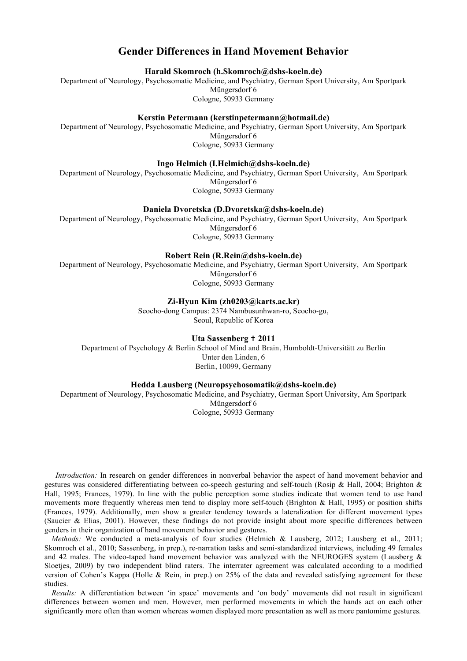# **Gender Differences in Hand Movement Behavior**

**Harald Skomroch (h.Skomroch@dshs-koeln.de)**

Department of Neurology, Psychosomatic Medicine, and Psychiatry, German Sport University, Am Sportpark Müngersdorf 6

Cologne, 50933 Germany

## **Kerstin Petermann (kerstinpetermann@hotmail.de)**

Department of Neurology, Psychosomatic Medicine, and Psychiatry, German Sport University, Am Sportpark Müngersdorf 6 Cologne, 50933 Germany

#### **Ingo Helmich (I.Helmich@dshs-koeln.de)**

Department of Neurology, Psychosomatic Medicine, and Psychiatry, German Sport University, Am Sportpark Müngersdorf 6 Cologne, 50933 Germany

### **Daniela Dvoretska (D.Dvoretska@dshs-koeln.de)**

Department of Neurology, Psychosomatic Medicine, and Psychiatry, German Sport University, Am Sportpark Müngersdorf 6 Cologne, 50933 Germany

#### **Robert Rein (R.Rein@dshs-koeln.de)**

Department of Neurology, Psychosomatic Medicine, and Psychiatry, German Sport University, Am Sportpark Müngersdorf 6 Cologne, 50933 Germany

**Zi-Hyun Kim (zh0203@karts.ac.kr)**

Seocho-dong Campus: 2374 Nambusunhwan-ro, Seocho-gu, Seoul, Republic of Korea

## **Uta Sassenberg ✝ 2011**

Department of Psychology & Berlin School of Mind and Brain, Humboldt-Universitätt zu Berlin Unter den Linden, 6 Berlin, 10099, Germany

#### **Hedda Lausberg (Neuropsychosomatik@dshs-koeln.de)**

Department of Neurology, Psychosomatic Medicine, and Psychiatry, German Sport University, Am Sportpark Müngersdorf 6

Cologne, 50933 Germany

*Introduction:* In research on gender differences in nonverbal behavior the aspect of hand movement behavior and gestures was considered differentiating between co-speech gesturing and self-touch (Rosip & Hall, 2004; Brighton & Hall, 1995; Frances, 1979). In line with the public perception some studies indicate that women tend to use hand movements more frequently whereas men tend to display more self-touch (Brighton & Hall, 1995) or position shifts (Frances, 1979). Additionally, men show a greater tendency towards a lateralization for different movement types (Saucier & Elias, 2001). However, these findings do not provide insight about more specific differences between genders in their organization of hand movement behavior and gestures.

*Methods:* We conducted a meta-analysis of four studies (Helmich & Lausberg, 2012; Lausberg et al., 2011; Skomroch et al., 2010; Sassenberg, in prep.), re-narration tasks and semi-standardized interviews, including 49 females and 42 males. The video-taped hand movement behavior was analyzed with the NEUROGES system (Lausberg & Sloetjes, 2009) by two independent blind raters. The interrater agreement was calculated according to a modified version of Cohen's Kappa (Holle & Rein, in prep.) on 25% of the data and revealed satisfying agreement for these studies.

*Results:* A differentiation between 'in space' movements and 'on body' movements did not result in significant differences between women and men. However, men performed movements in which the hands act on each other significantly more often than women whereas women displayed more presentation as well as more pantomime gestures.